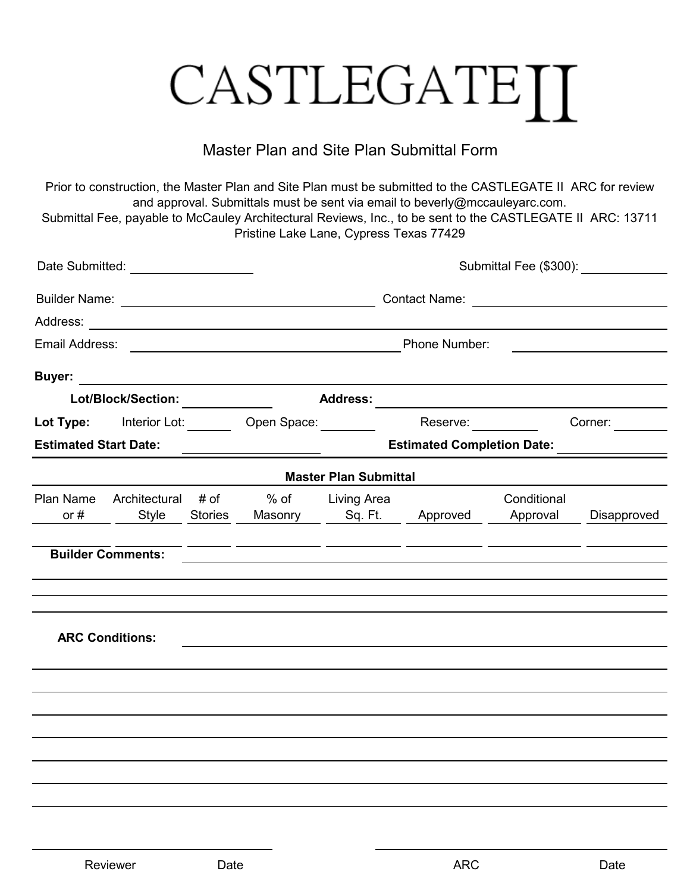## CASTLEGATEII

## Master Plan and Site Plan Submittal Form

Prior to construction, the Master Plan and Site Plan must be submitted to the CASTLEGATE II ARC for review and approval. Submittals must be sent via email to beverly@mccauleyarc.com. Submittal Fee, payable to McCauley Architectural Reviews, Inc., to be sent to the CASTLEGATE II ARC: 13711

Pristine Lake Lane, Cypress Texas 77429

| Date Submitted: _____________________ |                                       |                | Submittal Fee (\$300):                                                                                                                 |                                      |          |                                                  |             |  |  |
|---------------------------------------|---------------------------------------|----------------|----------------------------------------------------------------------------------------------------------------------------------------|--------------------------------------|----------|--------------------------------------------------|-------------|--|--|
|                                       |                                       |                |                                                                                                                                        |                                      |          |                                                  |             |  |  |
|                                       |                                       |                |                                                                                                                                        |                                      |          |                                                  |             |  |  |
|                                       |                                       |                |                                                                                                                                        | Phone Number:                        |          |                                                  |             |  |  |
| <b>Buyer:</b>                         |                                       |                | <u> 1989 - John Stein, Amerikaansk politiker (</u>                                                                                     |                                      |          |                                                  |             |  |  |
| Lot/Block/Section:                    |                                       |                | <b>Address:</b><br><u> 1980 - Jan Barbara Barbara, maso a popular establecidad e a la provincia de la provincia de la provincia de</u> |                                      |          |                                                  |             |  |  |
|                                       |                                       |                | Lot Type: Interior Lot: <u>Open Space:</u>                                                                                             |                                      | Reserve: |                                                  | Corner:     |  |  |
| <b>Estimated Start Date:</b>          |                                       |                |                                                                                                                                        | Estimated Completion Date: _________ |          |                                                  |             |  |  |
|                                       |                                       |                |                                                                                                                                        | <b>Master Plan Submittal</b>         |          |                                                  |             |  |  |
| or $#$                                | Plan Name Architectural # of<br>Style | <b>Stories</b> |                                                                                                                                        | % of Living Area                     |          | Conditional<br>Masonry Sq. Ft. Approved Approval | Disapproved |  |  |
|                                       | <b>Builder Comments:</b>              |                |                                                                                                                                        |                                      |          |                                                  |             |  |  |
|                                       | <b>ARC Conditions:</b>                |                |                                                                                                                                        |                                      |          |                                                  |             |  |  |
|                                       |                                       |                |                                                                                                                                        |                                      |          |                                                  |             |  |  |
|                                       |                                       |                |                                                                                                                                        |                                      |          |                                                  |             |  |  |
|                                       |                                       |                |                                                                                                                                        |                                      |          |                                                  |             |  |  |
|                                       |                                       |                |                                                                                                                                        |                                      |          |                                                  |             |  |  |
|                                       |                                       |                |                                                                                                                                        |                                      |          |                                                  |             |  |  |
|                                       |                                       |                |                                                                                                                                        |                                      |          |                                                  |             |  |  |